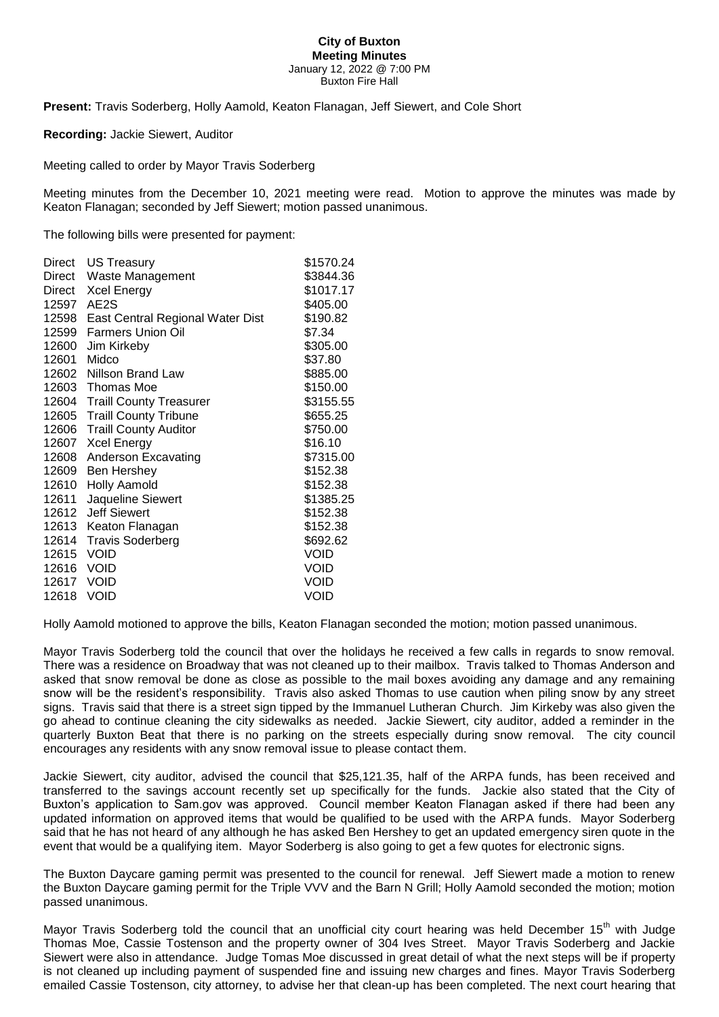## **City of Buxton Meeting Minutes** January 12, 2022 @ 7:00 PM Buxton Fire Hall

**Present:** Travis Soderberg, Holly Aamold, Keaton Flanagan, Jeff Siewert, and Cole Short

**Recording:** Jackie Siewert, Auditor

Meeting called to order by Mayor Travis Soderberg

Meeting minutes from the December 10, 2021 meeting were read. Motion to approve the minutes was made by Keaton Flanagan; seconded by Jeff Siewert; motion passed unanimous.

The following bills were presented for payment:

| Direct     | US Treasury                      | \$1570.24   |
|------------|----------------------------------|-------------|
| Direct     | Waste Management                 | \$3844.36   |
| Direct     | Xcel Energy                      | \$1017.17   |
| 12597      | AE2S                             | \$405.00    |
| 12598      | East Central Regional Water Dist | \$190.82    |
| 12599      | <b>Farmers Union Oil</b>         | \$7.34      |
| 12600      | Jim Kirkeby                      | \$305.00    |
| 12601      | Midco                            | \$37.80     |
| 12602      | Nillson Brand Law                | \$885.00    |
|            | 12603 Thomas Moe                 | \$150.00    |
|            | 12604 Traill County Treasurer    | \$3155.55   |
| 12605      | <b>Traill County Tribune</b>     | \$655.25    |
| 12606      | <b>Traill County Auditor</b>     | \$750.00    |
| 12607      | <b>Xcel Energy</b>               | \$16.10     |
| 12608      | Anderson Excavating              | \$7315.00   |
| 12609      | Ben Hershey                      | \$152.38    |
| 12610      | Holly Aamold                     | \$152.38    |
| 12611      | Jaqueline Siewert                | \$1385.25   |
| 12612      | <b>Jeff Siewert</b>              | \$152.38    |
| 12613      | Keaton Flanagan                  | \$152.38    |
| 12614      | <b>Travis Soderberg</b>          | \$692.62    |
| 12615      | <b>VOID</b>                      | <b>VOID</b> |
| 12616 VOID |                                  | <b>VOID</b> |
| 12617 VOID |                                  | VOID        |
| 12618      | <b>VOID</b>                      | <b>VOID</b> |
|            |                                  |             |

Holly Aamold motioned to approve the bills, Keaton Flanagan seconded the motion; motion passed unanimous.

Mayor Travis Soderberg told the council that over the holidays he received a few calls in regards to snow removal. There was a residence on Broadway that was not cleaned up to their mailbox. Travis talked to Thomas Anderson and asked that snow removal be done as close as possible to the mail boxes avoiding any damage and any remaining snow will be the resident's responsibility. Travis also asked Thomas to use caution when piling snow by any street signs. Travis said that there is a street sign tipped by the Immanuel Lutheran Church. Jim Kirkeby was also given the go ahead to continue cleaning the city sidewalks as needed. Jackie Siewert, city auditor, added a reminder in the quarterly Buxton Beat that there is no parking on the streets especially during snow removal. The city council encourages any residents with any snow removal issue to please contact them.

Jackie Siewert, city auditor, advised the council that \$25,121.35, half of the ARPA funds, has been received and transferred to the savings account recently set up specifically for the funds. Jackie also stated that the City of Buxton's application to Sam.gov was approved. Council member Keaton Flanagan asked if there had been any updated information on approved items that would be qualified to be used with the ARPA funds. Mayor Soderberg said that he has not heard of any although he has asked Ben Hershey to get an updated emergency siren quote in the event that would be a qualifying item. Mayor Soderberg is also going to get a few quotes for electronic signs.

The Buxton Daycare gaming permit was presented to the council for renewal. Jeff Siewert made a motion to renew the Buxton Daycare gaming permit for the Triple VVV and the Barn N Grill; Holly Aamold seconded the motion; motion passed unanimous.

Mayor Travis Soderberg told the council that an unofficial city court hearing was held December 15<sup>th</sup> with Judge Thomas Moe, Cassie Tostenson and the property owner of 304 Ives Street. Mayor Travis Soderberg and Jackie Siewert were also in attendance. Judge Tomas Moe discussed in great detail of what the next steps will be if property is not cleaned up including payment of suspended fine and issuing new charges and fines. Mayor Travis Soderberg emailed Cassie Tostenson, city attorney, to advise her that clean-up has been completed. The next court hearing that